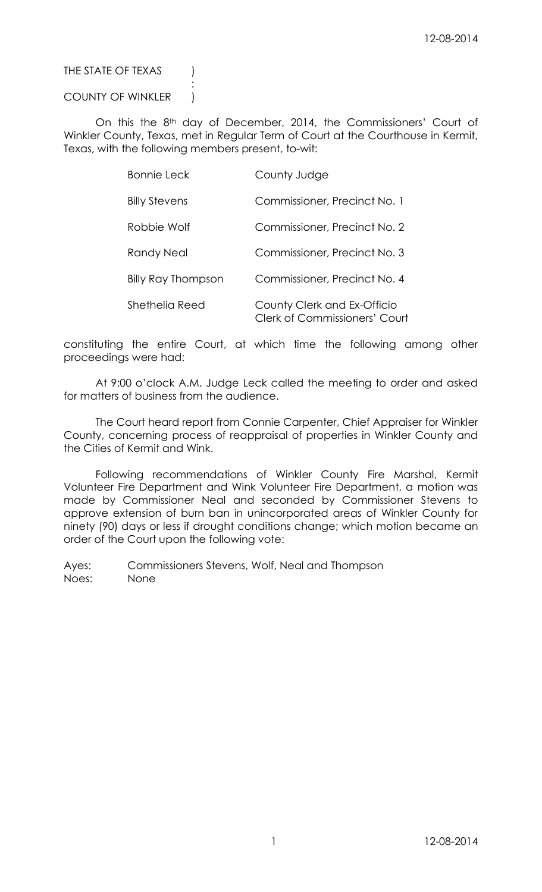# THE STATE OF TEXAS (

# COUNTY OF WINKLER |

:

On this the 8<sup>th</sup> day of December, 2014, the Commissioners' Court of Winkler County, Texas, met in Regular Term of Court at the Courthouse in Kermit, Texas, with the following members present, to-wit:

| <b>Bonnie Leck</b>        | County Judge                                                        |
|---------------------------|---------------------------------------------------------------------|
| <b>Billy Stevens</b>      | Commissioner, Precinct No. 1                                        |
| Robbie Wolf               | Commissioner, Precinct No. 2                                        |
| <b>Randy Neal</b>         | Commissioner, Precinct No. 3                                        |
| <b>Billy Ray Thompson</b> | Commissioner, Precinct No. 4                                        |
| Shethelia Reed            | County Clerk and Ex-Officio<br><b>Clerk of Commissioners' Court</b> |

constituting the entire Court, at which time the following among other proceedings were had:

At 9:00 o'clock A.M. Judge Leck called the meeting to order and asked for matters of business from the audience.

The Court heard report from Connie Carpenter, Chief Appraiser for Winkler County, concerning process of reappraisal of properties in Winkler County and the Cities of Kermit and Wink.

Following recommendations of Winkler County Fire Marshal, Kermit Volunteer Fire Department and Wink Volunteer Fire Department, a motion was made by Commissioner Neal and seconded by Commissioner Stevens to approve extension of burn ban in unincorporated areas of Winkler County for ninety (90) days or less if drought conditions change; which motion became an order of the Court upon the following vote: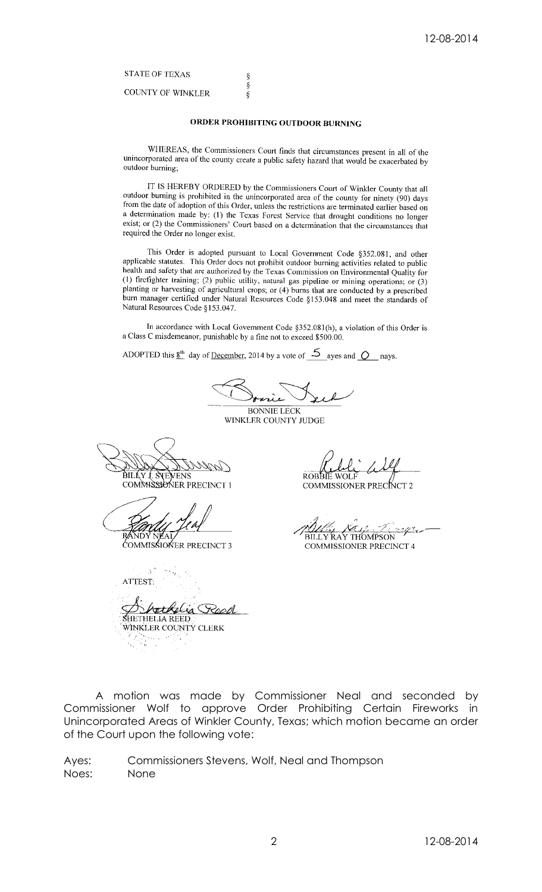**STATE OF TEXAS** 

**COUNTY OF WINKLER** 

### ORDER PROHIBITING OUTDOOR BURNING

ş<br>Ş

 $\delta$ 

WHEREAS, the Commissioners Court finds that circumstances present in all of the unincorporated area of the county create a public safety hazard that would be exacerbated by outdoor burning;

IT IS HEREBY ORDERED by the Commissioners Court of Winkler County that all outdoor burning is prohibited in the unincorporated area of the county for ninety (90) days from the date of adoption of this Order, unless the restrictions are terminated earlier based on a determination made by: (1) the Texas Forest Service that drought conditions no longer exist; or (2) the Commissioners' Court based on a determination that the circumstances that required the Order no longer exist.

This Order is adopted pursuant to Local Government Code §352.081, and other applicable statutes. This Order does not prohibit outdoor burning activities related to public health and safety that are authorized by the Texas Commission on Environmental Quality for (1) firefighter training; (2) public utility, natural gas pipeline or mining operations; or (3) planting or harvesting of agricultural crops; or (4) burns that are conducted by a prescribed burn manager certified under Natural Resources Code §153.048 and meet the standards of Natural Resources Code §153.047.

In accordance with Local Government Code §352.081(h), a violation of this Order is a Class C misdemeanor, punishable by a fine not to exceed \$500.00.

ADOPTED this  $\underline{8}^{\text{th}}$  day of <u>December</u>, 2014 by a vote of  $\underline{5}$  ayes and  $\underline{O}$  nays.

**BONNIE LECK** 

WINKLER COUNTY JUDGE

BILLY I. SYEVENS COMMISSIONER PRECINCT 1

COMMISSIONER PRECINCT 3

 $\mathcal{S}^7$ ATTEST: r<del>et</del> Kelia SHETHELIA REED WINKLER COUNTY CLERK

**ROBBIE WOLF** 

**COMMISSIONER PRECINCT 2** 

<u>rga</u>n BILLY RAY THOMPSON

COMMISSIONER PRECINCT 4

A motion was made by Commissioner Neal and seconded by<br>Commissioner Wolf to approve Order Prohibiting Certain Fireworks in Unincorporated Areas of Winkler County, Texas; which motion became an order of the Court upon the following vote: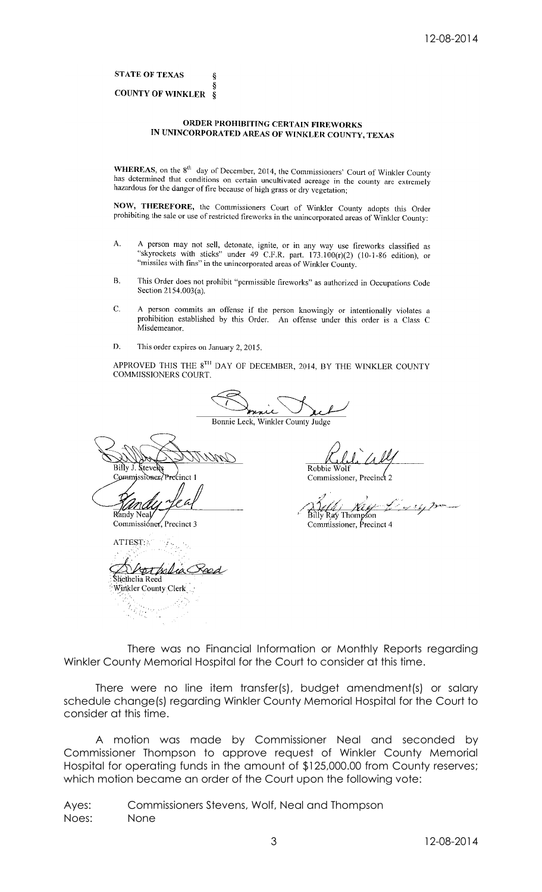**STATE OF TEXAS** 

#### **COUNTY OF WINKLER**  $\delta$

 $\boldsymbol{\delta}$ 

## ORDER PROHIBITING CERTAIN FIREWORKS IN UNINCORPORATED AREAS OF WINKLER COUNTY, TEXAS

**WHEREAS**, on the  $8^{th}$  day of December, 2014, the Commissioners' Court of Winkler County has determined that conditions on certain uncultivated acreage in the county has determined that conditions on certain uncultivated acreage in the county are extremely hazardous for the danger of fire because of high grass or dry vegetation;

NOW, THEREFORE, the Commissioners Court of Winkler County adopts this Order prohibiting the sale or use of restricted fireworks in the unincorporated areas of Winkler County:

- A person may not sell, detonate, ignite, or in any way use fireworks classified as<br>
"skyrockets with sticks" under 49 C.F.R. part.  $173.100(r)(2)$  (10-1-86 edition), or A. "missiles with fins" in the unincorporated areas of Winkler County.
- $B.$ This Order does not prohibit "permissible fireworks" as authorized in Occupations Code Section 2154.003(a).
- C. A person commits an offense if the person knowingly or intentionally violates a prohibition established by this Order. An offense under this order is a Class C Misdemeanor.
- D. This order expires on January 2, 2015.

APPROVED THIS THE 8<sup>TH</sup> DAY OF DECEMBER, 2014, BY THE WINKLER COUNTY COMMISSIONERS COURT.

سلا

Bonnie Leck, Winkler County Judge

Billy J. Steve Commissioner

Randy Neal

Commissioner, Precinct 3

ATTEST: <u>terfolia</u> hethelia Reed Winkler County Clerk

Robbie Wolf

Commissioner, Precinct 2

Billy Ray Thompson<br>Commissioner, Precinct 4

There was no Financial Information or Monthly Reports regarding Winkler County Memorial Hospital for the Court to consider at this time.

There were no line item transfer(s), budget amendment(s) or salary schedule change(s) regarding Winkler County Memorial Hospital for the Court to consider at this time.

A motion was made by Commissioner Neal and seconded by Commissioner Thompson to approve request of Winkler County Memorial Hospital for operating funds in the amount of \$125,000.00 from County reserves; which motion became an order of the Court upon the following vote: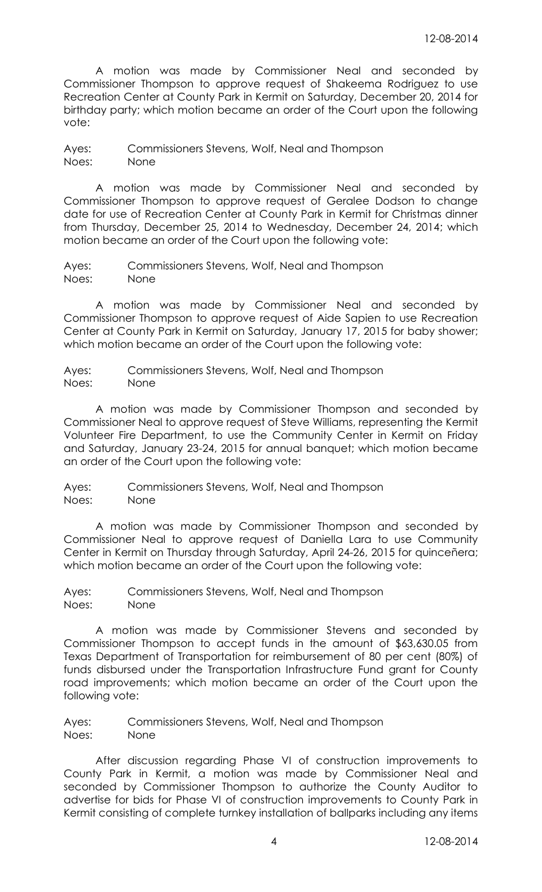A motion was made by Commissioner Neal and seconded by Commissioner Thompson to approve request of Shakeema Rodriguez to use Recreation Center at County Park in Kermit on Saturday, December 20, 2014 for birthday party; which motion became an order of the Court upon the following vote:

Ayes: Commissioners Stevens, Wolf, Neal and Thompson Noes: None

A motion was made by Commissioner Neal and seconded by Commissioner Thompson to approve request of Geralee Dodson to change date for use of Recreation Center at County Park in Kermit for Christmas dinner from Thursday, December 25, 2014 to Wednesday, December 24, 2014; which motion became an order of the Court upon the following vote:

Ayes: Commissioners Stevens, Wolf, Neal and Thompson Noes: None

A motion was made by Commissioner Neal and seconded by Commissioner Thompson to approve request of Aide Sapien to use Recreation Center at County Park in Kermit on Saturday, January 17, 2015 for baby shower; which motion became an order of the Court upon the following vote:

Ayes: Commissioners Stevens, Wolf, Neal and Thompson Noes: None

A motion was made by Commissioner Thompson and seconded by Commissioner Neal to approve request of Steve Williams, representing the Kermit Volunteer Fire Department, to use the Community Center in Kermit on Friday and Saturday, January 23-24, 2015 for annual banquet; which motion became an order of the Court upon the following vote:

Ayes: Commissioners Stevens, Wolf, Neal and Thompson Noes: None

A motion was made by Commissioner Thompson and seconded by Commissioner Neal to approve request of Daniella Lara to use Community Center in Kermit on Thursday through Saturday, April 24-26, 2015 for quinceñera; which motion became an order of the Court upon the following vote:

Ayes: Commissioners Stevens, Wolf, Neal and Thompson Noes: None

A motion was made by Commissioner Stevens and seconded by Commissioner Thompson to accept funds in the amount of \$63,630.05 from Texas Department of Transportation for reimbursement of 80 per cent (80%) of funds disbursed under the Transportation Infrastructure Fund grant for County road improvements; which motion became an order of the Court upon the following vote:

Ayes: Commissioners Stevens, Wolf, Neal and Thompson Noes: None

After discussion regarding Phase VI of construction improvements to County Park in Kermit, a motion was made by Commissioner Neal and seconded by Commissioner Thompson to authorize the County Auditor to advertise for bids for Phase VI of construction improvements to County Park in Kermit consisting of complete turnkey installation of ballparks including any items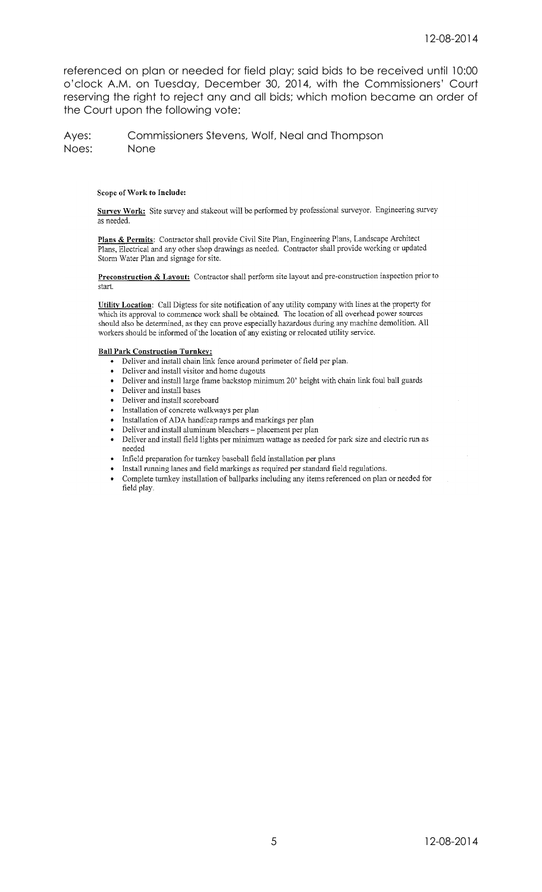referenced on plan or needed for field play; said bids to be received until 10:00 o'clock A.M. on Tuesday, December 30, 2014, with the Commissioners' Court reserving the right to reject any and all bids; which motion became an order of the Court upon the following vote:

Ayes: Commissioners Stevens, Wolf, Neal and Thompson Noes: None

#### Scope of Work to Include:

Survey Work: Site survey and stakeout will be performed by professional surveyor. Engineering survey as needed.

Plans & Permits: Contractor shall provide Civil Site Plan, Engineering Plans, Landscape Architect Plans, Electrical and any other shop drawings as needed. Contractor shall provide working or updated Storm Water Plan and signage for site.

Preconstruction & Lavout: Contractor shall perform site layout and pre-construction inspection prior to start.

Utility Location: Call Digtess for site notification of any utility company with lines at the property for which its approval to commence work shall be obtained. The location of all overhead power sources should also be determined, as they can prove especially hazardous during any machine demolition. All workers should be informed of the location of any existing or relocated utility service.

#### **Ball Park Construction Turnkey:**

- Deliver and install chain link fence around perimeter of field per plan.
- Deliver and install visitor and home dugouts
- Deliver and install large frame backstop minimum 20' height with chain link foul ball guards
- Deliver and install bases
- Deliver and install scoreboard
- Installation of concrete walkways per plan  $\bullet$
- Installation of ADA handicap ramps and markings per plan
- Deliver and install aluminum bleachers placement per plan
- Deliver and install field lights per minimum wattage as needed for park size and electric run as  $\rm needed$
- Infield preparation for turnkey baseball field installation per plans
- Install running lanes and field markings as required per standard field regulations.
- Complete turnkey installation of ballparks including any items referenced on plan or needed for field play.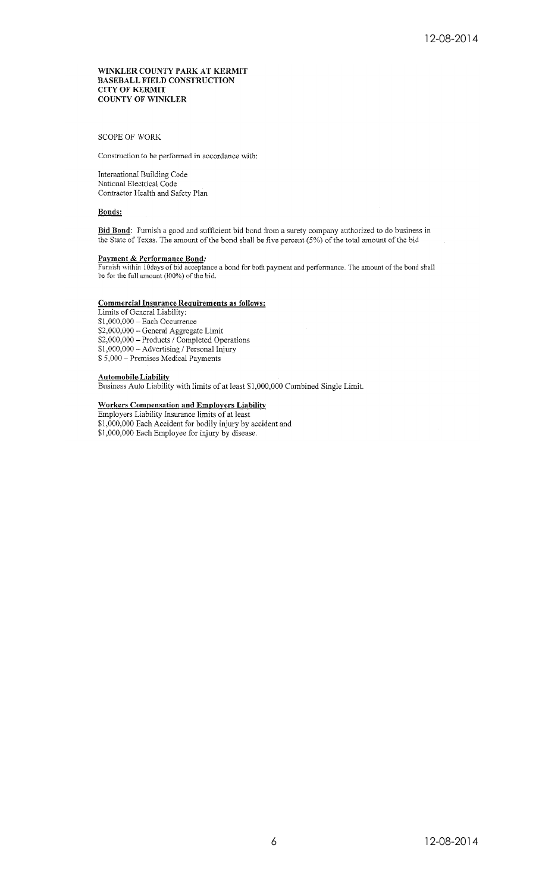#### WINKLER COUNTY PARK AT KERMIT **BASEBALL FIELD CONSTRUCTION CITY OF KERMIT COUNTY OF WINKLER**

**SCOPE OF WORK** 

Construction to be performed in accordance with:

International Building Code National Electrical Code Contractor Health and Safety Plan

#### **Bonds:**

Bid Bond: Furnish a good and sufficient bid bond from a surety company authorized to do business in the State of Texas. The amount of the bond shall be five percent (5%) of the total amount of the bid

#### Payment & Performance Bond:

Furnish within 10days of bid acceptance a bond for both payment and performance. The amount of the bond shall be for the full amount (100%) of the bid.

#### **Commercial Insurance Requirements as follows:**

Limits of General Liability:  $$1,000,000 - Each Occurrence$ \$2,000,000 - General Aggregate Limit  $$2,000,000 - \text{Senteral} \rightarrow \text{EgrC} \rightarrow \text{Lum} \$2,000,000 - \text{Products} / \text{Completed Operations} \$1,000,000 - \text{Advertising} / \text{Personal Injury}$ \$5,000 - Premises Medical Payments

#### **Automobile Liability**

Business Auto Liability with limits of at least \$1,000,000 Combined Single Limit.

# Workers Compensation and Employers Liability<br>Employers Liability Insurance limits of at least

\$1,000,000 Each Accident for bodily injury by accident and<br>\$1,000,000 Each Accident for bodily injury by accident and<br>\$1,000,000 Each Employee for injury by disease.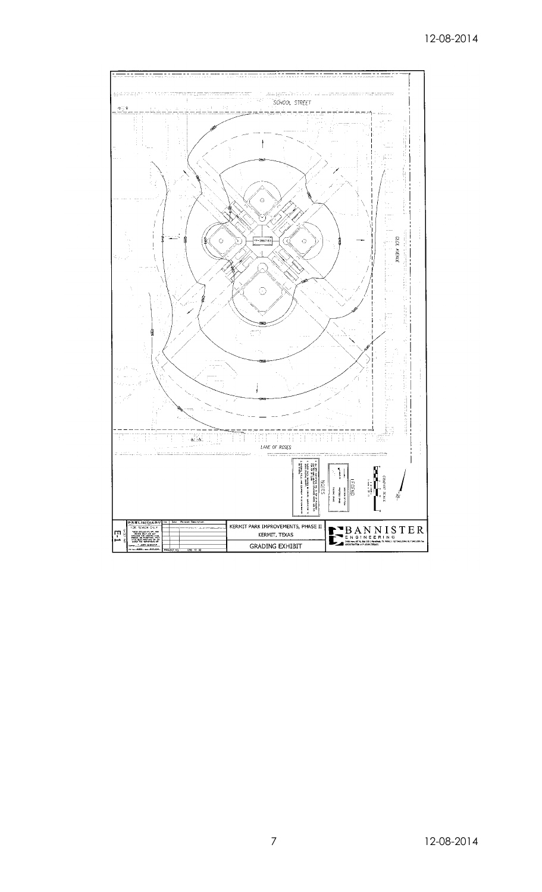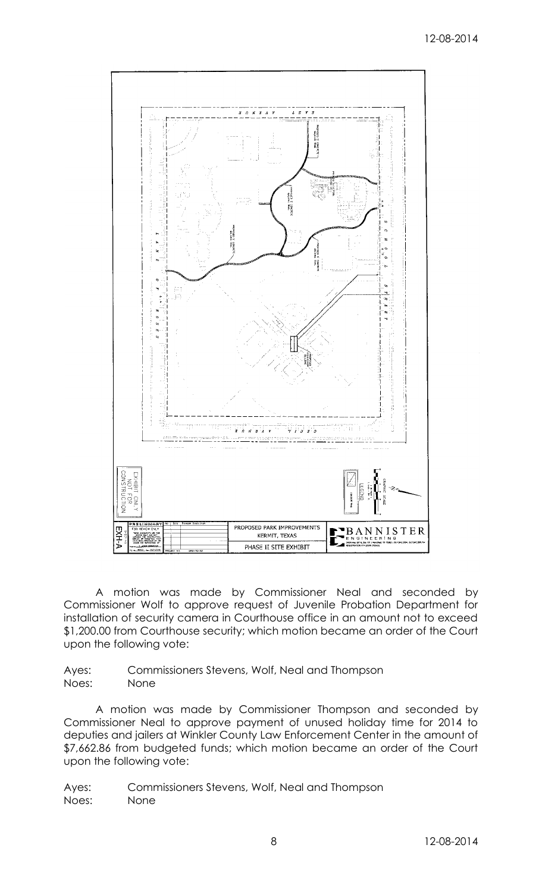

A motion was made by Commissioner Neal and seconded by Commissioner Wolf to approve request of Juvenile Probation Department for installation of security camera in Courthouse office in an amount not to exceed \$1,200.00 from Courthouse security; which motion became an order of the Court upon the following vote:

Ayes: Commissioners Stevens, Wolf, Neal and Thompson Noes: None

A motion was made by Commissioner Thompson and seconded by Commissioner Neal to approve payment of unused holiday time for 2014 to deputies and jailers at Winkler County Law Enforcement Center in the amount of \$7,662.86 from budgeted funds; which motion became an order of the Court upon the following vote: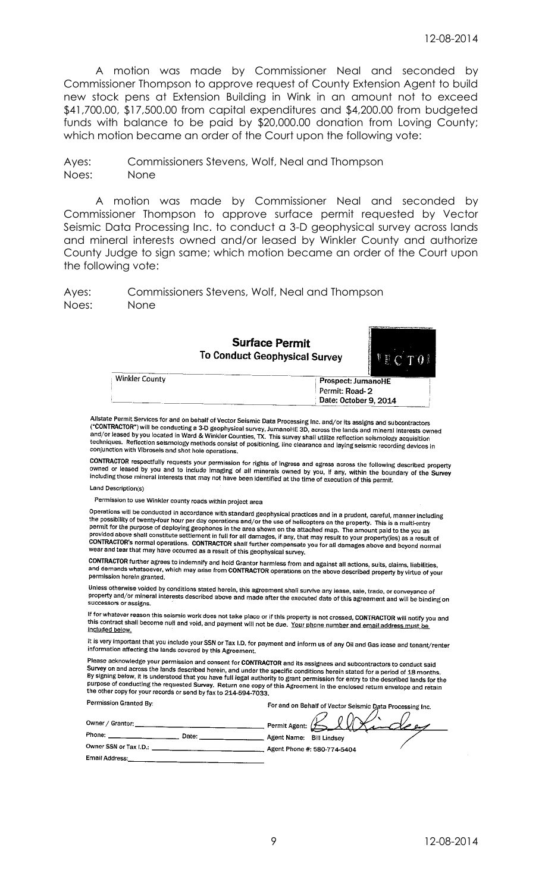A motion was made by Commissioner Neal and seconded by Commissioner Thompson to approve request of County Extension Agent to build new stock pens at Extension Building in Wink in an amount not to exceed \$41,700.00, \$17,500.00 from capital expenditures and \$4,200.00 from budgeted funds with balance to be paid by \$20,000.00 donation from Loving County; which motion became an order of the Court upon the following vote:

Ayes: Commissioners Stevens, Wolf, Neal and Thompson Noes: None

A motion was made by Commissioner Neal and seconded by Commissioner Thompson to approve surface permit requested by Vector Seismic Data Processing Inc. to conduct a 3-D geophysical survey across lands and mineral interests owned and/or leased by Winkler County and authorize County Judge to sign same; which motion became an order of the Court upon the following vote:

Ayes: Commissioners Stevens, Wolf, Neal and Thompson Noes: None

> **Surface Permit To Conduct Geophysical Survey**



| Winkler County | Prospect: JumanoHE    |
|----------------|-----------------------|
|                | Permit: Road-2        |
|                | Date: October 9, 2014 |
|                |                       |

Allstate Permit Services for and on behalf of Vector Seismic Data Processing Inc. and/or its assigns and subcontractors<br>("CONTRACTOR") will be conducting a 3-D geophysical survey, Jumanally 2D, assess the lands and subcont viewed by you located in Ward of vector seismic Data Processing Inc. and/or its assigns and subcontractors<br>("CONTRACTOR") will be conducting a 3-D geophysical survey, JumanoHE 3D, across the lands and mineral interests own anayor cases by you located in ward & winkler Counties, IX. This survey shall utilize reflection seismology acquisition<br>techniques. Reflection seismology methods consist of positioning, line clearance and laying seismic re conjunction with Vibrosels and shot hole operations.

**CONTRACTOR** respectfully requests your permission for rights of ingress and egress across the following described property<br>owned or leased by you and to include imaging of all minorals gwnod by you. If any within the happ owned or leased by you and to include imaging of all minerals owned by you, if any, within the boundary of the Survey<br>including those mineral interests that may not have been identified at the time of execution of this per

#### Land Description(s)

ermission to use Winkler county roads within project area

Operations will be conducted in accordance with standard geophysical practices and in a prudent, careful, manner including<br>the possibility of twenty-four hour ner day operations and/or the use of beligenters as the argamen the possibility of twenty-four hour per day operations and/or the use of helicopters and in a prudent, careful, manner inclu<br>permit for the purpose of deploying geophonos in the area of helicopters on the property. This is Figure 1.0 and the purpose of deploying geophones in the area shown on the attached map. The amount paid to the you as<br>premit for the purpose of deploying geophones in the area shown on the attached map. The amount paid to wear and tear that may have occurred as a result of this geophysical survey.

CONTRACTOR further agrees to indemnify and hold Grantor harmless from and against all actions, suits, claims, liabilities,<br>and demands whatsoever, which may arise from CONTRACTOR operations on the above described property permission herein granted.

Unless otherwise voided by conditions stated herein, this agreement shall survive any lease, sale, trade, or conveyance<br>property and/or mineral interests described above and made offer the executed data of this agreement. property and/or mineral interests described above and made after the executed date of this agreement and will be binding on successors or assigns.

If for whatever reason this seismic work does not take place or if this property is not crossed, CONTRACTOR will notify you and<br>this contract shall become null and void, and newment will not be due. Your share sumbers and this contract shall become null and void, and payment will not be due. Your phone number and email address must be included below.

It is very important that you include your SSN or Tax I.D. for payment and inform us of any Oil and Gas lease and tenant/renter information affecting the lands covered by this Agreement.

Please acknowledge your permission and consent for CONTRACTOR and its assignees and subcontractors to conduct said<br>Survey on and across the lands described bergin, and under the consider conditions because that function in Survey on and account permission and consent for CONTRACTOR and its assignees and subcontractors to conduct said<br>By signing below, it is understood that you have full legal authority to grant permission for entry to the de repairs of coloni, it is and elisable that you have full regal authority to grant permission for entry to the described lands for the purpose of conducting the requested Survey. Return one copy of this Agreement in the enc  $\sim$   $\sim$   $\sim$   $\sim$   $\sim$   $\sim$ 

| <b>FULLOWITATION:</b>  | For and on Behalf of Vector Seismic Data Processing Inc. |
|------------------------|----------------------------------------------------------|
| Owner / Grantor:       | Permit Agent: $\overbrace{ }$                            |
| Phone:<br>Date:        | Agent Name:<br>Bill Lindsev                              |
| Owner SSN or Tax I.D.: | Agent Phone #: 580-774-5404                              |
| Email Address:         |                                                          |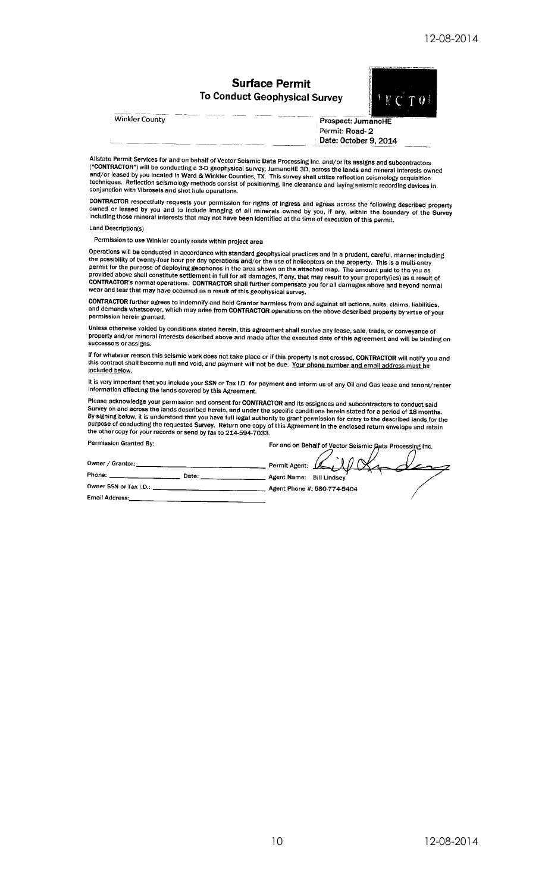# **Surface Permit To Conduct Geophysical Survey**



**Winkler County** 

Prospect: JumanoHE Permit: Road-2 Date: October 9, 2014

Allstate Permit Services for and on behalf of Vector Seismic Data Processing Inc. and/or its assigns and subcontractors Alistate Ferrin Services for and on benan of vector Seismic Data Processing inc. and/or its assigns and subcontractors ("CONTRACTOR") will be conducting a 3-D geophysical survey, JumanoHE 3D, across the lands and mineral i

CONTRACTOR respectfully requests your permission for rights of ingress and egress across the following described property<br>owned or leased by you and to include imaging of all minerals owned by you, if any, within the bound

Land Description(s)

Permission to use Winkler county roads within project area

Operations will be conducted in accordance with standard geophysical practices and in a prudent, careful, manner including Operations will be cultured in accordance with standard geophysical practices and in a prudent, careful, manner including<br>the possibility of twenty-four hour per day operations and/or the use of helicopters on the property wear and tear that may have occurred as a result of this geophysical survey.

CONTRACTOR further agrees to indemnify and hold Grantor harmless from and against all actions, suits, claims, liabilities,<br>and demands whatsoever, which may arise from CONTRACTOR operations on the above described property permission herein granted.

Unless otherwise voided by conditions stated herein, this agreement shall survive any lease, sale, trade, or conveyance of<br>property and/or mineral interests described above and made after the executed date of this agreemen successors or assigns.

If for whatever reason this seismic work does not take place or if this property is not crossed, CONTRACTOR will notify you and this contract shall become null and void, and payment will not be due. Your phone number and email address must be included below.

It is very important that you include your SSN or Tax I.D. for payment and inform us of any Oil and Gas lease and tenant/renter<br>information affecting the lands covered by this Agreement.

Please acknowledge your permission and consent for CONTRACTOR and its assignees and subcontractors to conduct said Survey on and across the lands described herein, and under the specific conditions herein stated for a period of 18 months.<br>By signing below, it is understood that you have full legal authority to grant permission for entr the other copy for your records or send by fax to 214-594-7033. **Permission Granted Public** 

| , ט יוויוסטוטון שומוונכט בוי | For and on Behalf of Vector Seismic Data Processing Inc. |
|------------------------------|----------------------------------------------------------|
| Owner / Grantor:             | Permit Agent: U                                          |
| Phone:<br>Date:              | Agent Name: Bill Lindsey                                 |
| Owner SSN or Tax I.D.:       | Agent Phone #: 580-774-5404                              |
| <b>Email Address:</b>        |                                                          |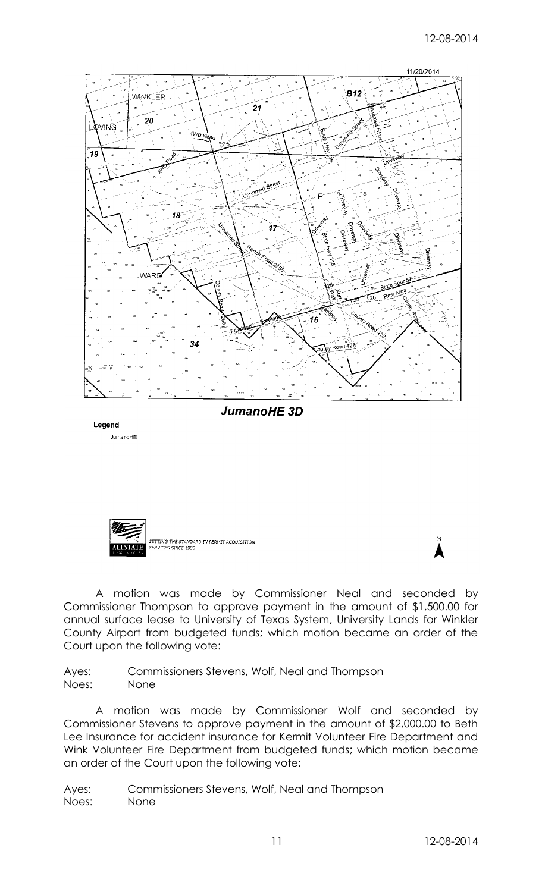

Legend JumanoHE



A motion was made by Commissioner Neal and seconded by Commissioner Thompson to approve payment in the amount of \$1,500.00 for annual surface lease to University of Texas System, University Lands for Winkler County Airport from budgeted funds; which motion became an order of the Court upon the following vote:

Ayes: Commissioners Stevens, Wolf, Neal and Thompson Noes: None

A motion was made by Commissioner Wolf and seconded by Commissioner Stevens to approve payment in the amount of \$2,000.00 to Beth Lee Insurance for accident insurance for Kermit Volunteer Fire Department and Wink Volunteer Fire Department from budgeted funds; which motion became an order of the Court upon the following vote: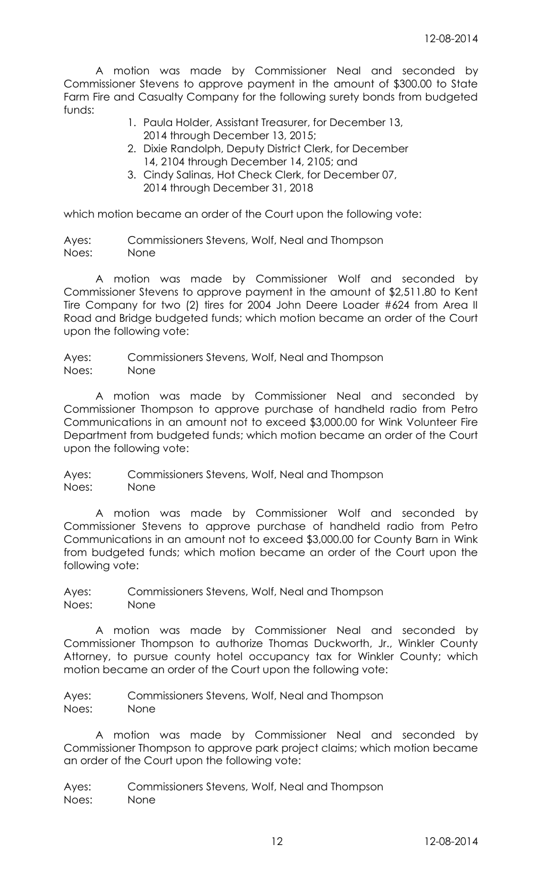A motion was made by Commissioner Neal and seconded by Commissioner Stevens to approve payment in the amount of \$300.00 to State Farm Fire and Casualty Company for the following surety bonds from budgeted funds:

- 1. Paula Holder, Assistant Treasurer, for December 13, 2014 through December 13, 2015;
- 2. Dixie Randolph, Deputy District Clerk, for December 14, 2104 through December 14, 2105; and
- 3. Cindy Salinas, Hot Check Clerk, for December 07, 2014 through December 31, 2018

which motion became an order of the Court upon the following vote:

Ayes: Commissioners Stevens, Wolf, Neal and Thompson Noes: None

A motion was made by Commissioner Wolf and seconded by Commissioner Stevens to approve payment in the amount of \$2,511.80 to Kent Tire Company for two (2) tires for 2004 John Deere Loader #624 from Area II Road and Bridge budgeted funds; which motion became an order of the Court upon the following vote:

Ayes: Commissioners Stevens, Wolf, Neal and Thompson Noes: None

A motion was made by Commissioner Neal and seconded by Commissioner Thompson to approve purchase of handheld radio from Petro Communications in an amount not to exceed \$3,000.00 for Wink Volunteer Fire Department from budgeted funds; which motion became an order of the Court upon the following vote:

Ayes: Commissioners Stevens, Wolf, Neal and Thompson Noes: None

A motion was made by Commissioner Wolf and seconded by Commissioner Stevens to approve purchase of handheld radio from Petro Communications in an amount not to exceed \$3,000.00 for County Barn in Wink from budgeted funds; which motion became an order of the Court upon the following vote:

Ayes: Commissioners Stevens, Wolf, Neal and Thompson Noes: None

A motion was made by Commissioner Neal and seconded by Commissioner Thompson to authorize Thomas Duckworth, Jr., Winkler County Attorney, to pursue county hotel occupancy tax for Winkler County; which motion became an order of the Court upon the following vote:

Ayes: Commissioners Stevens, Wolf, Neal and Thompson Noes: None

A motion was made by Commissioner Neal and seconded by Commissioner Thompson to approve park project claims; which motion became an order of the Court upon the following vote: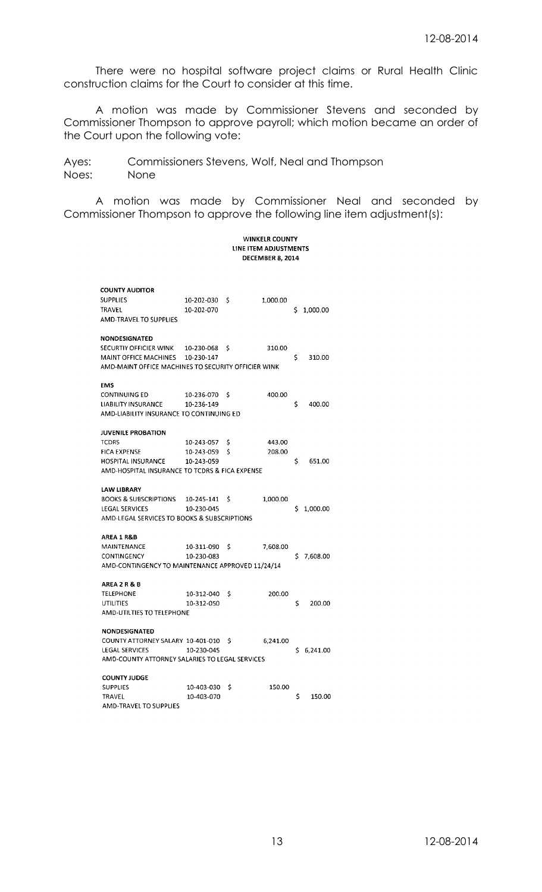There were no hospital software project claims or Rural Health Clinic construction claims for the Court to consider at this time.

A motion was made by Commissioner Stevens and seconded by Commissioner Thompson to approve payroll; which motion became an order of the Court upon the following vote:

Ayes: Commissioners Stevens, Wolf, Neal and Thompson Noes: None

A motion was made by Commissioner Neal and seconded by Commissioner Thompson to approve the following line item adjustment(s):

#### **WINKELR COUNTY** LINE ITEM ADJUSTMENTS DECEMBER 8, 2014

| <b>COUNTY AUDITOR</b>                               |            |    |          |    |          |
|-----------------------------------------------------|------------|----|----------|----|----------|
| <b>SUPPLIES</b>                                     | 10-202-030 | s  | 1,000.00 |    |          |
| TRAVEL                                              | 10-202-070 |    |          | Ś  | 1,000.00 |
| AMD-TRAVEL TO SUPPLIES                              |            |    |          |    |          |
|                                                     |            |    |          |    |          |
| NONDESIGNATED                                       |            |    |          |    |          |
| SECURTIY OFFICIER WINK                              | 10-230-068 | \$ | 310.00   |    |          |
| MAINT OFFICE MACHINES                               | 10-230-147 |    |          | \$ | 310.00   |
| AMD-MAINT OFFICE MACHINES TO SECURITY OFFICIER WINK |            |    |          |    |          |
|                                                     |            |    |          |    |          |
| <b>EMS</b>                                          |            |    |          |    |          |
| <b>CONTINUING ED</b>                                | 10-236-070 | S  | 400.00   | \$ |          |
| LIABILITY INSURANCE                                 | 10-236-149 |    |          |    | 400.00   |
| AMD-LIABILITY INSURANCE TO CONTINUING ED            |            |    |          |    |          |
| <b>JUVENILE PROBATION</b>                           |            |    |          |    |          |
| TCDRS                                               | 10-243-057 | S  | 443.00   |    |          |
| <b>FICA EXPENSE</b>                                 | 10-243-059 | \$ | 208.00   |    |          |
| HOSPITAL INSURANCE                                  | 10-243-059 |    |          | \$ | 651.00   |
| AMD-HOSPITAL INSURANCE TO TCDRS & FICA EXPENSE      |            |    |          |    |          |
|                                                     |            |    |          |    |          |
| <b>LAW LIBRARY</b>                                  |            |    |          |    |          |
| <b>BOOKS &amp; SUBSCRIPTIONS</b>                    | 10-245-141 | s  | 1.000.00 |    |          |
| <b>LEGAL SERVICES</b>                               | 10-230-045 |    |          | Ś  | 1,000.00 |
| AMD-LEGAL SERVICES TO BOOKS & SUBSCRIPTIONS         |            |    |          |    |          |
| AREA 1 R&B                                          |            |    |          |    |          |
| MAINTENANCE                                         | 10-311-090 | \$ | 7,608.00 |    |          |
| CONTINGENCY                                         | 10-230-083 |    |          | \$ | 7,608.00 |
| AMD-CONTINGENCY TO MAINTENANCE APPROVED 11/24/14    |            |    |          |    |          |
|                                                     |            |    |          |    |          |
| <b>AREA 2 R &amp; B</b>                             |            |    |          |    |          |
| TELEPHONE                                           | 10-312-040 | \$ | 200.00   |    |          |
| UTILITIES                                           | 10-312-050 |    |          | \$ | 200.00   |
| AMD-UTILTIES TO TELEPHONE                           |            |    |          |    |          |
| <b>NONDESIGNATED</b>                                |            |    |          |    |          |
| COUNTY ATTORNEY SALARY 10-401-010                   |            | S  | 6.241.00 |    |          |
| <b>LEGAL SERVICES</b>                               | 10-230-045 |    |          | \$ | 6.241.00 |
| AMD-COUNTY ATTORNEY SALARIES TO LEGAL SERVICES      |            |    |          |    |          |
|                                                     |            |    |          |    |          |
| <b>COUNTY JUDGE</b>                                 |            |    |          |    |          |
| <b>SUPPLIES</b>                                     | 10-403-030 | Ś  | 150.00   |    |          |
| TRAVEL                                              | 10-403-070 |    |          | Ś  | 150.00   |
| AMD-TRAVEL TO SUPPLIES                              |            |    |          |    |          |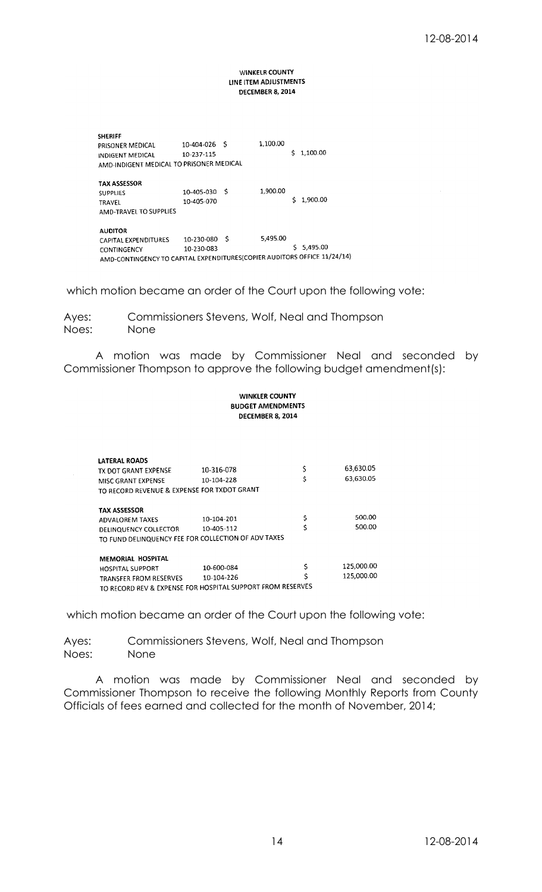#### **WINKELR COUNTY** LINE ITEM ADJUSTMENTS **DECEMBER 8, 2014**

| <b>SHERIFF</b><br>PRISONER MEDICAL<br><b>INDIGENT MEDICAL</b><br>AMD-INDIGENT MEDICAL TO PRISONER MEDICAL                         | 10-404-026<br>10-237-115 | - S | 1.100.00 | Š. | 1.100.00   |
|-----------------------------------------------------------------------------------------------------------------------------------|--------------------------|-----|----------|----|------------|
| <b>TAX ASSESSOR</b><br><b>SUPPLIES</b><br><b>TRAVEL</b><br>AMD-TRAVEL TO SUPPLIES                                                 | 10-405-030<br>10-405-070 | -S  | 1,900.00 | Ś  | 1,900.00   |
| <b>AUDITOR</b><br>CAPITAL EXPENDITURES<br>CONTINGENCY<br>AMD-CONTINGENCY TO CAPITAL EXPENDITURES(COPIER AUDITORS OFFICE 11/24/14) | 10-230-080<br>10-230-083 | - S | 5,495.00 |    | \$5,495.00 |

which motion became an order of the Court upon the following vote:

Ayes: Commissioners Stevens, Wolf, Neal and Thompson Noes: None

A motion was made by Commissioner Neal and seconded by Commissioner Thompson to approve the following budget amendment(s):

|                                                            | <b>WINKLER COUNTY</b><br><b>BUDGET AMENDMENTS</b><br><b>DECEMBER 8, 2014</b> |    |            |
|------------------------------------------------------------|------------------------------------------------------------------------------|----|------------|
|                                                            |                                                                              |    |            |
| <b>LATERAL ROADS</b>                                       |                                                                              |    |            |
| TX DOT GRANT EXPENSE                                       | 10-316-078                                                                   | \$ | 63,630.05  |
| MISC GRANT EXPENSE                                         | 10-104-228                                                                   | \$ | 63,630.05  |
| TO RECORD REVENUE & EXPENSE FOR TXDOT GRANT                |                                                                              |    |            |
| <b>TAX ASSESSOR</b>                                        |                                                                              |    |            |
| ADVALOREM TAXES                                            | 10-104-201                                                                   | \$ | 500.00     |
| <b>DELINQUENCY COLLECTOR</b>                               | 10-405-112                                                                   | Ś  | 500.00     |
| TO FUND DELINQUENCY FEE FOR COLLECTION OF ADV TAXES        |                                                                              |    |            |
| MEMORIAL HOSPITAL                                          |                                                                              |    |            |
| <b>HOSPITAL SUPPORT</b>                                    | 10-600-084                                                                   | \$ | 125,000.00 |
| TRANSFER FROM RESERVES                                     | 10-104-226                                                                   | Ś  | 125,000.00 |
| TO RECORD REV & EXPENSE FOR HOSPITAL SUPPORT FROM RESERVES |                                                                              |    |            |

which motion became an order of the Court upon the following vote:

Ayes: Commissioners Stevens, Wolf, Neal and Thompson Noes: None

A motion was made by Commissioner Neal and seconded by Commissioner Thompson to receive the following Monthly Reports from County Officials of fees earned and collected for the month of November, 2014;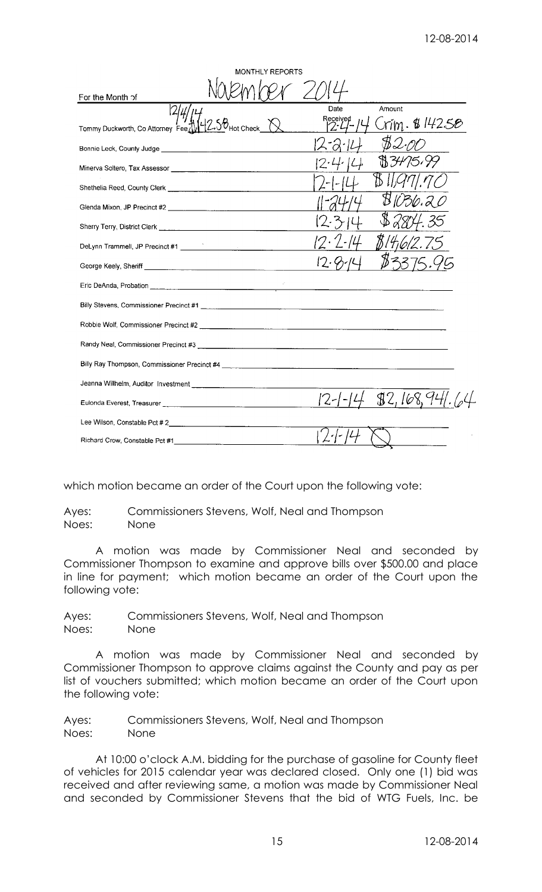| <b>MONTHLY REPORTS</b>                                               |                                 |
|----------------------------------------------------------------------|---------------------------------|
| For the Month of                                                     |                                 |
|                                                                      | Amount<br>Date                  |
| $2.56$ Hot Check<br>Tommy Duckworth, Co Attorney Fee Uv              | Received<br>rim & 142 <i>58</i> |
|                                                                      | iz-a-                           |
|                                                                      | 81.ZH<br>15,99                  |
|                                                                      |                                 |
|                                                                      |                                 |
|                                                                      |                                 |
| DeLynn Trammell, JP Precinct #1 [19] DeLynn Trammell, JP Precinct #1 |                                 |
|                                                                      |                                 |
|                                                                      |                                 |
|                                                                      |                                 |
|                                                                      |                                 |
|                                                                      |                                 |
|                                                                      |                                 |
|                                                                      |                                 |
|                                                                      | \$2,168,                        |
|                                                                      |                                 |
|                                                                      |                                 |

which motion became an order of the Court upon the following vote:

Ayes: Commissioners Stevens, Wolf, Neal and Thompson Noes: None

A motion was made by Commissioner Neal and seconded by Commissioner Thompson to examine and approve bills over \$500.00 and place in line for payment; which motion became an order of the Court upon the following vote:

Ayes: Commissioners Stevens, Wolf, Neal and Thompson Noes: None

A motion was made by Commissioner Neal and seconded by Commissioner Thompson to approve claims against the County and pay as per list of vouchers submitted; which motion became an order of the Court upon the following vote:

Ayes: Commissioners Stevens, Wolf, Neal and Thompson Noes: None

At 10:00 o'clock A.M. bidding for the purchase of gasoline for County fleet of vehicles for 2015 calendar year was declared closed. Only one (1) bid was received and after reviewing same, a motion was made by Commissioner Neal and seconded by Commissioner Stevens that the bid of WTG Fuels, Inc. be